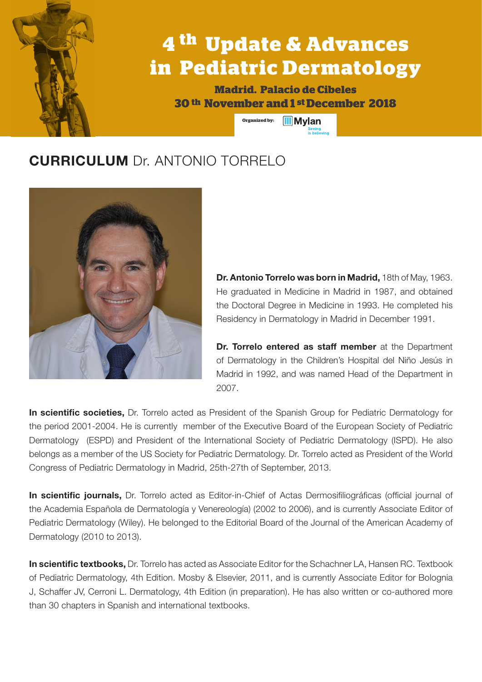## **4 th Update & Advances in Pediatric Dermatology**

**Madrid. Palacio de Cibeles 30 th November and 1 st December 2018**

> **Organized by: III** Mylan

## **CURRICULUM** Dr. ANTONIO TORRELO



**Dr. Antonio Torrelo was born in Madrid,** 18th of May, 1963. He graduated in Medicine in Madrid in 1987, and obtained the Doctoral Degree in Medicine in 1993. He completed his Residency in Dermatology in Madrid in December 1991.

**Dr. Torrelo entered as staff member** at the Department of Dermatology in the Children's Hospital del Niño Jesús in Madrid in 1992, and was named Head of the Department in 2007.

**In scientific societies,** Dr. Torrelo acted as President of the Spanish Group for Pediatric Dermatology for the period 2001-2004. He is currently member of the Executive Board of the European Society of Pediatric Dermatology (ESPD) and President of the International Society of Pediatric Dermatology (ISPD). He also belongs as a member of the US Society for Pediatric Dermatology. Dr. Torrelo acted as President of the World Congress of Pediatric Dermatology in Madrid, 25th-27th of September, 2013.

**In scientific journals,** Dr. Torrelo acted as Editor-in-Chief of Actas Dermosifiliográficas (official journal of the Academia Española de Dermatología y Venereología) (2002 to 2006), and is currently Associate Editor of Pediatric Dermatology (Wiley). He belonged to the Editorial Board of the Journal of the American Academy of Dermatology (2010 to 2013).

**In scientific textbooks,** Dr. Torrelo has acted as Associate Editor for the Schachner LA, Hansen RC. Textbook of Pediatric Dermatology, 4th Edition. Mosby & Elsevier, 2011, and is currently Associate Editor for Bolognia J, Schaffer JV, Cerroni L. Dermatology, 4th Edition (in preparation). He has also written or co-authored more than 30 chapters in Spanish and international textbooks.